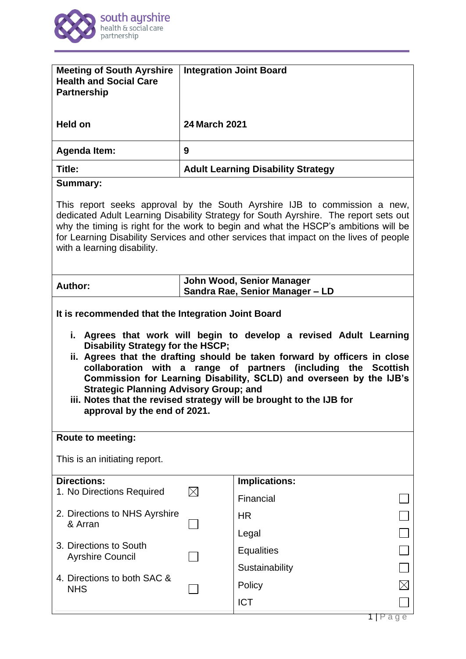

| <b>Meeting of South Ayrshire</b><br><b>Health and Social Care</b><br><b>Partnership</b>                                                                                                                                                                                                                                                                                                                                                                                                                                                                                                                  | <b>Integration Joint Board</b>                               |                      |             |
|----------------------------------------------------------------------------------------------------------------------------------------------------------------------------------------------------------------------------------------------------------------------------------------------------------------------------------------------------------------------------------------------------------------------------------------------------------------------------------------------------------------------------------------------------------------------------------------------------------|--------------------------------------------------------------|----------------------|-------------|
| Held on                                                                                                                                                                                                                                                                                                                                                                                                                                                                                                                                                                                                  | <b>24 March 2021</b>                                         |                      |             |
| <b>Agenda Item:</b>                                                                                                                                                                                                                                                                                                                                                                                                                                                                                                                                                                                      | 9                                                            |                      |             |
| Title:                                                                                                                                                                                                                                                                                                                                                                                                                                                                                                                                                                                                   | <b>Adult Learning Disability Strategy</b>                    |                      |             |
| <b>Summary:</b>                                                                                                                                                                                                                                                                                                                                                                                                                                                                                                                                                                                          |                                                              |                      |             |
| This report seeks approval by the South Ayrshire IJB to commission a new,<br>dedicated Adult Learning Disability Strategy for South Ayrshire. The report sets out<br>why the timing is right for the work to begin and what the HSCP's ambitions will be<br>for Learning Disability Services and other services that impact on the lives of people<br>with a learning disability.                                                                                                                                                                                                                        |                                                              |                      |             |
| Author:                                                                                                                                                                                                                                                                                                                                                                                                                                                                                                                                                                                                  | John Wood, Senior Manager<br>Sandra Rae, Senior Manager - LD |                      |             |
| It is recommended that the Integration Joint Board<br>i. Agrees that work will begin to develop a revised Adult Learning<br>Disability Strategy for the HSCP;<br>ii. Agrees that the drafting should be taken forward by officers in close<br>collaboration with a range of partners (including the Scottish<br>Commission for Learning Disability, SCLD) and overseen by the IJB's<br><b>Strategic Planning Advisory Group; and</b><br>iii. Notes that the revised strategy will be brought to the IJB for<br>approval by the end of 2021.<br><b>Route to meeting:</b><br>This is an initiating report. |                                                              |                      |             |
| <b>Directions:</b><br>1. No Directions Required                                                                                                                                                                                                                                                                                                                                                                                                                                                                                                                                                          | $\bowtie$                                                    | <b>Implications:</b> |             |
|                                                                                                                                                                                                                                                                                                                                                                                                                                                                                                                                                                                                          |                                                              | Financial            |             |
| 2. Directions to NHS Ayrshire<br>& Arran                                                                                                                                                                                                                                                                                                                                                                                                                                                                                                                                                                 |                                                              | <b>HR</b>            |             |
|                                                                                                                                                                                                                                                                                                                                                                                                                                                                                                                                                                                                          |                                                              | Legal                |             |
| 3. Directions to South<br><b>Ayrshire Council</b><br>4. Directions to both SAC &<br><b>NHS</b>                                                                                                                                                                                                                                                                                                                                                                                                                                                                                                           |                                                              | <b>Equalities</b>    |             |
|                                                                                                                                                                                                                                                                                                                                                                                                                                                                                                                                                                                                          |                                                              | Sustainability       |             |
|                                                                                                                                                                                                                                                                                                                                                                                                                                                                                                                                                                                                          |                                                              | Policy               | $\boxtimes$ |
|                                                                                                                                                                                                                                                                                                                                                                                                                                                                                                                                                                                                          |                                                              | <b>ICT</b>           |             |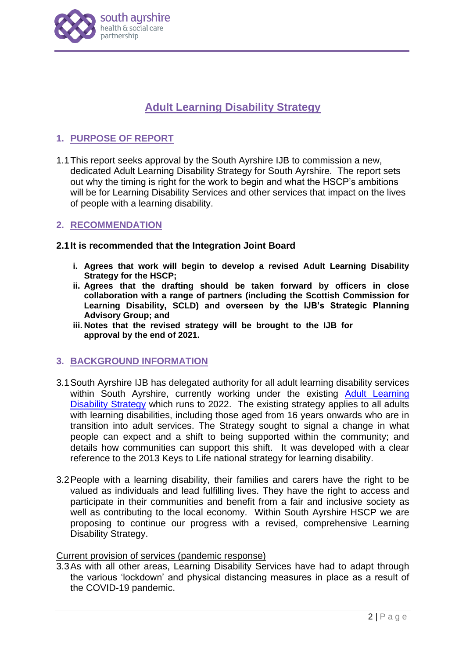

# **Adult Learning Disability Strategy**

# **1. PURPOSE OF REPORT**

1.1This report seeks approval by the South Ayrshire IJB to commission a new, dedicated Adult Learning Disability Strategy for South Ayrshire. The report sets out why the timing is right for the work to begin and what the HSCP's ambitions will be for Learning Disability Services and other services that impact on the lives of people with a learning disability.

#### **2. RECOMMENDATION**

#### **2.1It is recommended that the Integration Joint Board**

- **i. Agrees that work will begin to develop a revised Adult Learning Disability Strategy for the HSCP;**
- **ii. Agrees that the drafting should be taken forward by officers in close collaboration with a range of partners (including the Scottish Commission for Learning Disability, SCLD) and overseen by the IJB's Strategic Planning Advisory Group; and**
- **iii. Notes that the revised strategy will be brought to the IJB for approval by the end of 2021.**

#### **3. BACKGROUND INFORMATION**

- 3.1South Ayrshire IJB has delegated authority for all adult learning disability services within South Ayrshire, currently working under the existing Adult Learning [Disability Strategy](https://www.south-ayrshire.gov.uk/health-social-care-partnership/documents/full%20learning%20disability%20strategy%20document.pdf) which runs to 2022. The existing strategy applies to all adults with learning disabilities, including those aged from 16 years onwards who are in transition into adult services. The Strategy sought to signal a change in what people can expect and a shift to being supported within the community; and details how communities can support this shift. It was developed with a clear reference to the 2013 Keys to Life national strategy for learning disability.
- 3.2People with a learning disability, their families and carers have the right to be valued as individuals and lead fulfilling lives. They have the right to access and participate in their communities and benefit from a fair and inclusive society as well as contributing to the local economy. Within South Ayrshire HSCP we are proposing to continue our progress with a revised, comprehensive Learning Disability Strategy.

#### Current provision of services (pandemic response)

3.3As with all other areas, Learning Disability Services have had to adapt through the various 'lockdown' and physical distancing measures in place as a result of the COVID-19 pandemic.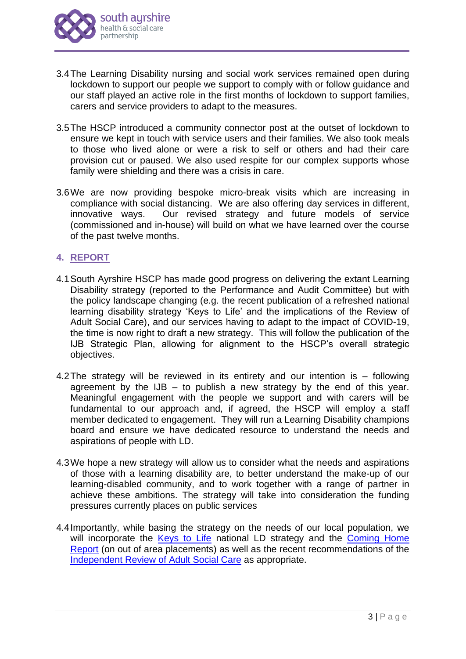

- 3.4The Learning Disability nursing and social work services remained open during lockdown to support our people we support to comply with or follow guidance and our staff played an active role in the first months of lockdown to support families, carers and service providers to adapt to the measures.
- 3.5The HSCP introduced a community connector post at the outset of lockdown to ensure we kept in touch with service users and their families. We also took meals to those who lived alone or were a risk to self or others and had their care provision cut or paused. We also used respite for our complex supports whose family were shielding and there was a crisis in care.
- 3.6We are now providing bespoke micro-break visits which are increasing in compliance with social distancing. We are also offering day services in different, innovative ways. Our revised strategy and future models of service (commissioned and in-house) will build on what we have learned over the course of the past twelve months.

# **4. REPORT**

- 4.1South Ayrshire HSCP has made good progress on delivering the extant Learning Disability strategy (reported to the Performance and Audit Committee) but with the policy landscape changing (e.g. the recent publication of a refreshed national learning disability strategy 'Keys to Life' and the implications of the Review of Adult Social Care), and our services having to adapt to the impact of COVID-19, the time is now right to draft a new strategy. This will follow the publication of the IJB Strategic Plan, allowing for alignment to the HSCP's overall strategic objectives.
- 4.2The strategy will be reviewed in its entirety and our intention is following agreement by the  $IJB -$  to publish a new strategy by the end of this year. Meaningful engagement with the people we support and with carers will be fundamental to our approach and, if agreed, the HSCP will employ a staff member dedicated to engagement. They will run a Learning Disability champions board and ensure we have dedicated resource to understand the needs and aspirations of people with LD.
- 4.3We hope a new strategy will allow us to consider what the needs and aspirations of those with a learning disability are, to better understand the make-up of our learning-disabled community, and to work together with a range of partner in achieve these ambitions. The strategy will take into consideration the funding pressures currently places on public services
- 4.4Importantly, while basing the strategy on the needs of our local population, we will incorporate the [Keys to Life](https://keystolife.info/wp-content/uploads/2019/03/Keys-To-Life-Implementation-Framework.pdf) national LD strategy and the Coming Home [Report](https://www.gov.scot/publications/coming-home-complex-care-needs-out-area-placements-report-2018/) (on out of area placements) as well as the recent recommendations of the [Independent Review of Adult Social Care](https://www.gov.scot/groups/independent-review-of-adult-social-care/) as appropriate.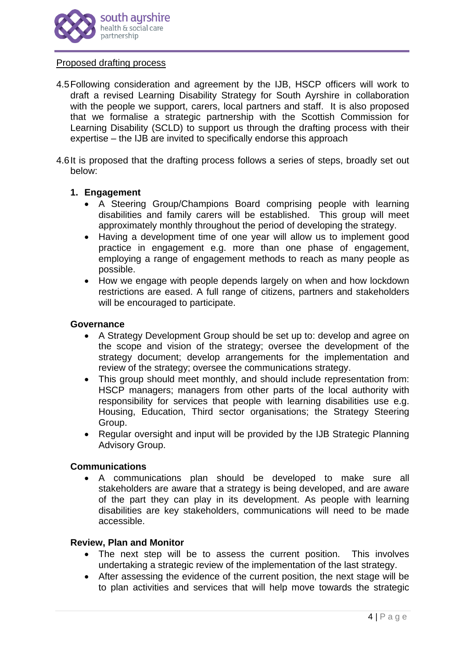

#### Proposed drafting process

- 4.5Following consideration and agreement by the IJB, HSCP officers will work to draft a revised Learning Disability Strategy for South Ayrshire in collaboration with the people we support, carers, local partners and staff. It is also proposed that we formalise a strategic partnership with the Scottish Commission for Learning Disability (SCLD) to support us through the drafting process with their expertise – the IJB are invited to specifically endorse this approach
- 4.6It is proposed that the drafting process follows a series of steps, broadly set out below:

#### **1. Engagement**

- A Steering Group/Champions Board comprising people with learning disabilities and family carers will be established. This group will meet approximately monthly throughout the period of developing the strategy.
- Having a development time of one year will allow us to implement good practice in engagement e.g. more than one phase of engagement, employing a range of engagement methods to reach as many people as possible.
- How we engage with people depends largely on when and how lockdown restrictions are eased. A full range of citizens, partners and stakeholders will be encouraged to participate.

#### **Governance**

- A Strategy Development Group should be set up to: develop and agree on the scope and vision of the strategy; oversee the development of the strategy document; develop arrangements for the implementation and review of the strategy; oversee the communications strategy.
- This group should meet monthly, and should include representation from: HSCP managers; managers from other parts of the local authority with responsibility for services that people with learning disabilities use e.g. Housing, Education, Third sector organisations; the Strategy Steering Group.
- Regular oversight and input will be provided by the IJB Strategic Planning Advisory Group.

## **Communications**

• A communications plan should be developed to make sure all stakeholders are aware that a strategy is being developed, and are aware of the part they can play in its development. As people with learning disabilities are key stakeholders, communications will need to be made accessible.

#### **Review, Plan and Monitor**

- The next step will be to assess the current position. This involves undertaking a strategic review of the implementation of the last strategy.
- After assessing the evidence of the current position, the next stage will be to plan activities and services that will help move towards the strategic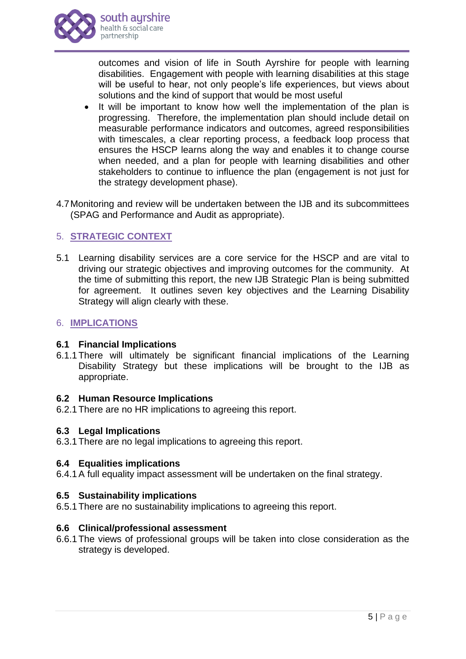

outcomes and vision of life in South Ayrshire for people with learning disabilities. Engagement with people with learning disabilities at this stage will be useful to hear, not only people's life experiences, but views about solutions and the kind of support that would be most useful

- It will be important to know how well the implementation of the plan is progressing. Therefore, the implementation plan should include detail on measurable performance indicators and outcomes, agreed responsibilities with timescales, a clear reporting process, a feedback loop process that ensures the HSCP learns along the way and enables it to change course when needed, and a plan for people with learning disabilities and other stakeholders to continue to influence the plan (engagement is not just for the strategy development phase).
- 4.7Monitoring and review will be undertaken between the IJB and its subcommittees (SPAG and Performance and Audit as appropriate).

# 5. **STRATEGIC CONTEXT**

5.1 Learning disability services are a core service for the HSCP and are vital to driving our strategic objectives and improving outcomes for the community. At the time of submitting this report, the new IJB Strategic Plan is being submitted for agreement. It outlines seven key objectives and the Learning Disability Strategy will align clearly with these.

## 6. **IMPLICATIONS**

## **6.1 Financial Implications**

6.1.1There will ultimately be significant financial implications of the Learning Disability Strategy but these implications will be brought to the IJB as appropriate.

## **6.2 Human Resource Implications**

6.2.1There are no HR implications to agreeing this report.

## **6.3 Legal Implications**

6.3.1There are no legal implications to agreeing this report.

## **6.4 Equalities implications**

6.4.1A full equality impact assessment will be undertaken on the final strategy.

## **6.5 Sustainability implications**

6.5.1There are no sustainability implications to agreeing this report.

## **6.6 Clinical/professional assessment**

6.6.1The views of professional groups will be taken into close consideration as the strategy is developed.